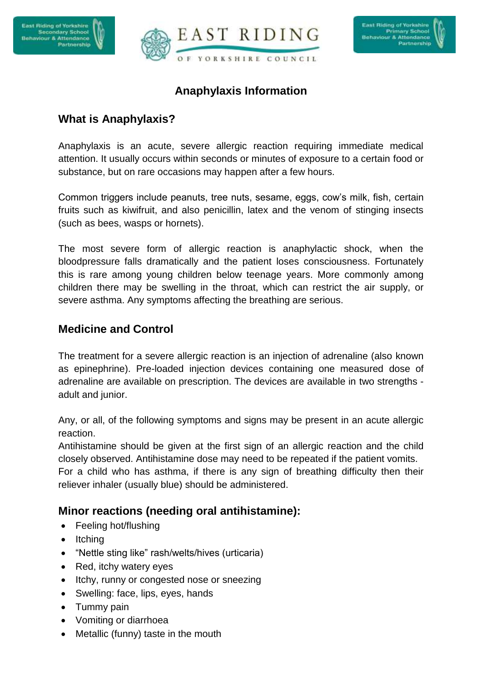



# **Anaphylaxis Information**

# **What is Anaphylaxis?**

Anaphylaxis is an acute, severe allergic reaction requiring immediate medical attention. It usually occurs within seconds or minutes of exposure to a certain food or substance, but on rare occasions may happen after a few hours.

Common triggers include peanuts, tree nuts, sesame, eggs, cow's milk, fish, certain fruits such as kiwifruit, and also penicillin, latex and the venom of stinging insects (such as bees, wasps or hornets).

The most severe form of allergic reaction is anaphylactic shock, when the bloodpressure falls dramatically and the patient loses consciousness. Fortunately this is rare among young children below teenage years. More commonly among children there may be swelling in the throat, which can restrict the air supply, or severe asthma. Any symptoms affecting the breathing are serious.

### **Medicine and Control**

The treatment for a severe allergic reaction is an injection of adrenaline (also known as epinephrine). Pre-loaded injection devices containing one measured dose of adrenaline are available on prescription. The devices are available in two strengths adult and junior.

Any, or all, of the following symptoms and signs may be present in an acute allergic reaction.

Antihistamine should be given at the first sign of an allergic reaction and the child closely observed. Antihistamine dose may need to be repeated if the patient vomits.

For a child who has asthma, if there is any sign of breathing difficulty then their reliever inhaler (usually blue) should be administered.

## **Minor reactions (needing oral antihistamine):**

- Feeling hot/flushing
- $\bullet$  Itching
- "Nettle sting like" rash/welts/hives (urticaria)
- Red, itchy watery eyes
- Itchy, runny or congested nose or sneezing
- Swelling: face, lips, eyes, hands
- Tummy pain
- Vomiting or diarrhoea
- Metallic (funny) taste in the mouth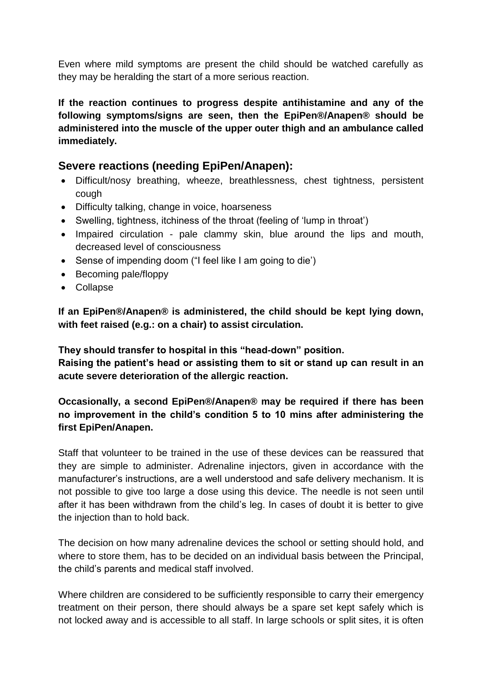Even where mild symptoms are present the child should be watched carefully as they may be heralding the start of a more serious reaction.

**If the reaction continues to progress despite antihistamine and any of the following symptoms/signs are seen, then the EpiPen®/Anapen® should be administered into the muscle of the upper outer thigh and an ambulance called immediately.**

#### **Severe reactions (needing EpiPen/Anapen):**

- Difficult/nosy breathing, wheeze, breathlessness, chest tightness, persistent cough
- Difficulty talking, change in voice, hoarseness
- Swelling, tightness, itchiness of the throat (feeling of 'lump in throat')
- Impaired circulation pale clammy skin, blue around the lips and mouth, decreased level of consciousness
- Sense of impending doom ("I feel like I am going to die')
- Becoming pale/floppy
- Collapse

**If an EpiPen®/Anapen® is administered, the child should be kept lying down, with feet raised (e.g.: on a chair) to assist circulation.**

**They should transfer to hospital in this "head-down" position.**

**Raising the patient's head or assisting them to sit or stand up can result in an acute severe deterioration of the allergic reaction.**

#### **Occasionally, a second EpiPen®/Anapen® may be required if there has been no improvement in the child's condition 5 to 10 mins after administering the first EpiPen/Anapen.**

Staff that volunteer to be trained in the use of these devices can be reassured that they are simple to administer. Adrenaline injectors, given in accordance with the manufacturer's instructions, are a well understood and safe delivery mechanism. It is not possible to give too large a dose using this device. The needle is not seen until after it has been withdrawn from the child's leg. In cases of doubt it is better to give the injection than to hold back.

The decision on how many adrenaline devices the school or setting should hold, and where to store them, has to be decided on an individual basis between the Principal, the child's parents and medical staff involved.

Where children are considered to be sufficiently responsible to carry their emergency treatment on their person, there should always be a spare set kept safely which is not locked away and is accessible to all staff. In large schools or split sites, it is often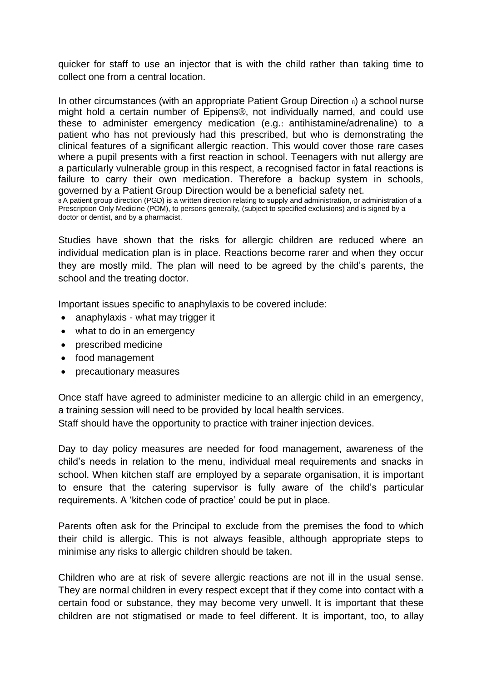quicker for staff to use an injector that is with the child rather than taking time to collect one from a central location.

In other circumstances (with an appropriate Patient Group Direction  $\delta$ ) a school nurse might hold a certain number of Epipens®, not individually named, and could use these to administer emergency medication (e.g.: antihistamine/adrenaline) to a patient who has not previously had this prescribed, but who is demonstrating the clinical features of a significant allergic reaction. This would cover those rare cases where a pupil presents with a first reaction in school. Teenagers with nut allergy are a particularly vulnerable group in this respect, a recognised factor in fatal reactions is failure to carry their own medication. Therefore a backup system in schools, governed by a Patient Group Direction would be a beneficial safety net. 8 A patient group direction (PGD) is a written direction relating to supply and administration, or administration of a

Prescription Only Medicine (POM), to persons generally, (subject to specified exclusions) and is signed by a doctor or dentist, and by a pharmacist.

Studies have shown that the risks for allergic children are reduced where an individual medication plan is in place. Reactions become rarer and when they occur they are mostly mild. The plan will need to be agreed by the child's parents, the school and the treating doctor.

Important issues specific to anaphylaxis to be covered include:

- anaphylaxis what may trigger it
- what to do in an emergency
- prescribed medicine
- food management
- precautionary measures

Once staff have agreed to administer medicine to an allergic child in an emergency, a training session will need to be provided by local health services.

Staff should have the opportunity to practice with trainer injection devices.

Day to day policy measures are needed for food management, awareness of the child's needs in relation to the menu, individual meal requirements and snacks in school. When kitchen staff are employed by a separate organisation, it is important to ensure that the catering supervisor is fully aware of the child's particular requirements. A 'kitchen code of practice' could be put in place.

Parents often ask for the Principal to exclude from the premises the food to which their child is allergic. This is not always feasible, although appropriate steps to minimise any risks to allergic children should be taken.

Children who are at risk of severe allergic reactions are not ill in the usual sense. They are normal children in every respect except that if they come into contact with a certain food or substance, they may become very unwell. It is important that these children are not stigmatised or made to feel different. It is important, too, to allay